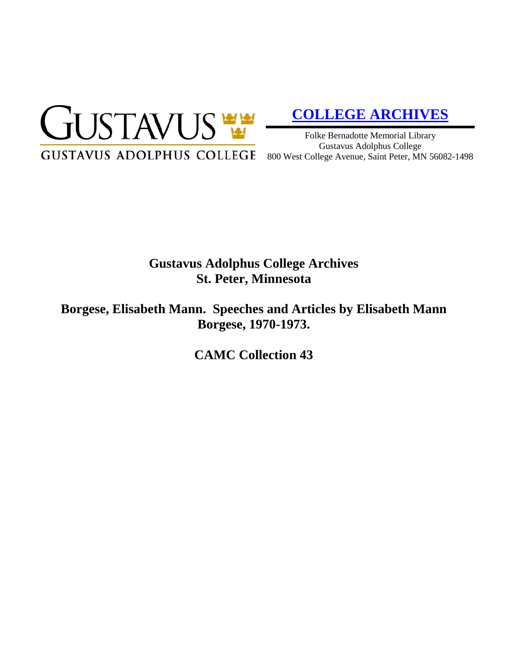

# **[COLLEGE ARCHIVES](http://gustavus.edu/academics/library/archives/)**

Folke Bernadotte Memorial Library Gustavus Adolphus College

## **Gustavus Adolphus College Archives St. Peter, Minnesota**

**Borgese, Elisabeth Mann. Speeches and Articles by Elisabeth Mann Borgese, 1970-1973.**

**CAMC Collection 43**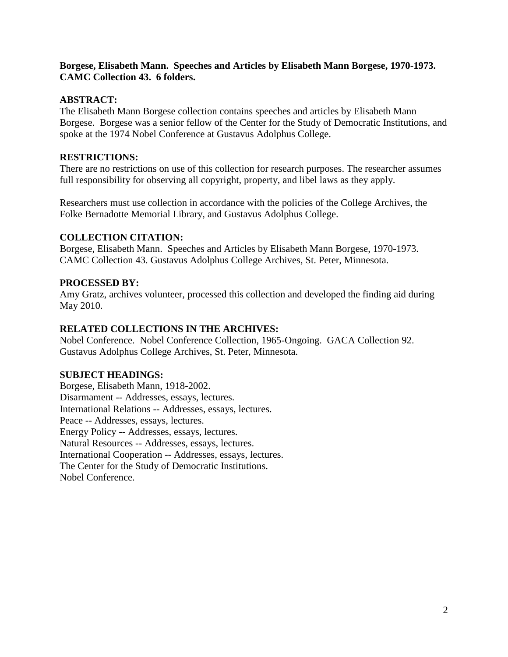#### **Borgese, Elisabeth Mann. Speeches and Articles by Elisabeth Mann Borgese, 1970-1973. CAMC Collection 43. 6 folders.**

#### **ABSTRACT:**

The Elisabeth Mann Borgese collection contains speeches and articles by Elisabeth Mann Borgese. Borgese was a senior fellow of the Center for the Study of Democratic Institutions, and spoke at the 1974 Nobel Conference at Gustavus Adolphus College.

### **RESTRICTIONS:**

There are no restrictions on use of this collection for research purposes. The researcher assumes full responsibility for observing all copyright, property, and libel laws as they apply.

Researchers must use collection in accordance with the policies of the College Archives, the Folke Bernadotte Memorial Library, and Gustavus Adolphus College.

#### **COLLECTION CITATION:**

Borgese, Elisabeth Mann. Speeches and Articles by Elisabeth Mann Borgese, 1970-1973. CAMC Collection 43. Gustavus Adolphus College Archives, St. Peter, Minnesota.

#### **PROCESSED BY:**

Amy Gratz, archives volunteer, processed this collection and developed the finding aid during May 2010.

### **RELATED COLLECTIONS IN THE ARCHIVES:**

Nobel Conference. Nobel Conference Collection, 1965-Ongoing. GACA Collection 92. Gustavus Adolphus College Archives, St. Peter, Minnesota.

#### **SUBJECT HEADINGS:**

Borgese, Elisabeth Mann, 1918-2002. Disarmament -- Addresses, essays, lectures. International Relations -- Addresses, essays, lectures. Peace -- Addresses, essays, lectures. Energy Policy -- Addresses, essays, lectures. Natural Resources -- Addresses, essays, lectures. International Cooperation -- Addresses, essays, lectures. The Center for the Study of Democratic Institutions. Nobel Conference.